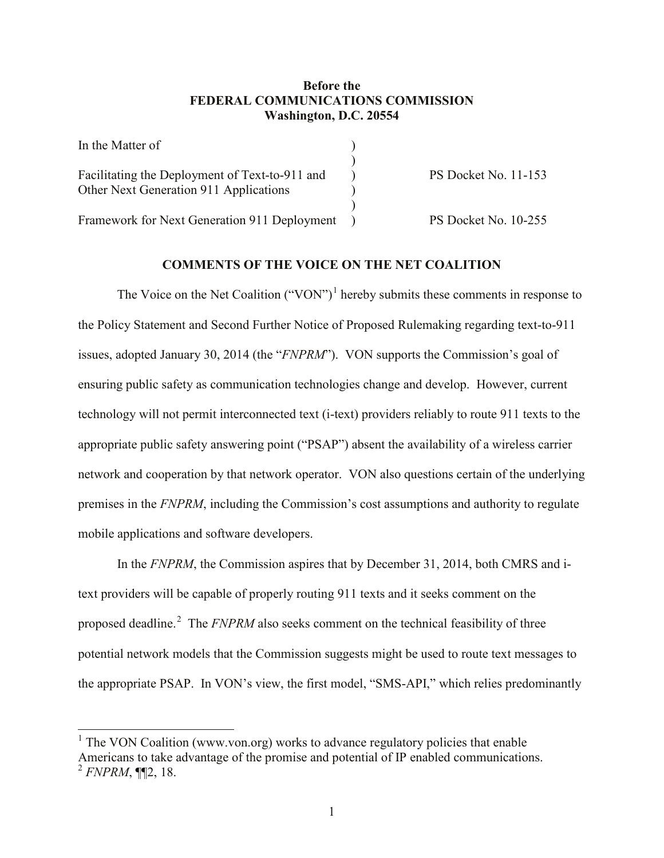## **Before the FEDERAL COMMUNICATIONS COMMISSION Washington, D.C. 20554**

| In the Matter of                               |                             |
|------------------------------------------------|-----------------------------|
|                                                |                             |
| Facilitating the Deployment of Text-to-911 and | <b>PS Docket No. 11-153</b> |
| Other Next Generation 911 Applications         |                             |
|                                                |                             |
| Framework for Next Generation 911 Deployment   | PS Docket No. 10-255        |

## **COMMENTS OF THE VOICE ON THE NET COALITION**

The Voice on the Net Coalition  $("VON")^1$  $("VON")^1$  hereby submits these comments in response to the Policy Statement and Second Further Notice of Proposed Rulemaking regarding text-to-911 issues, adopted January 30, 2014 (the "*FNPRM*"). VON supports the Commission's goal of ensuring public safety as communication technologies change and develop. However, current technology will not permit interconnected text (i-text) providers reliably to route 911 texts to the appropriate public safety answering point ("PSAP") absent the availability of a wireless carrier network and cooperation by that network operator. VON also questions certain of the underlying premises in the *FNPRM*, including the Commission's cost assumptions and authority to regulate mobile applications and software developers.

In the *FNPRM*, the Commission aspires that by December 31, 2014, both CMRS and itext providers will be capable of properly routing 911 texts and it seeks comment on the proposed deadline.<sup>[2](#page-0-1)</sup> The *FNPRM* also seeks comment on the technical feasibility of three potential network models that the Commission suggests might be used to route text messages to the appropriate PSAP. In VON's view, the first model, "SMS-API," which relies predominantly

<span id="page-0-1"></span><span id="page-0-0"></span><sup>&</sup>lt;sup>1</sup> The VON Coalition (www.von.org) works to advance regulatory policies that enable Americans to take advantage of the promise and potential of IP enabled communications. <sup>2</sup> *FNPRM*, ¶¶2, 18.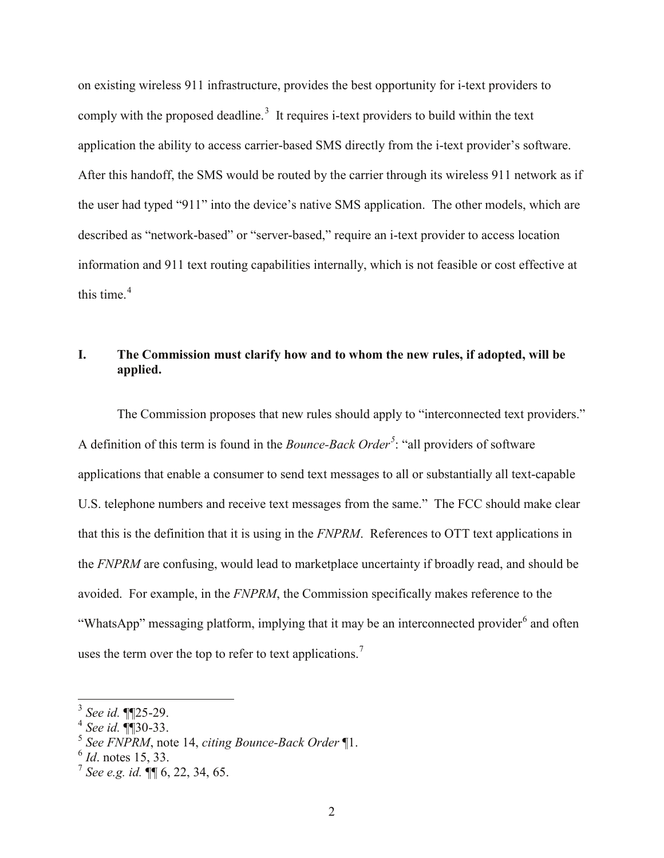on existing wireless 911 infrastructure, provides the best opportunity for i-text providers to comply with the proposed deadline.<sup>[3](#page-1-0)</sup> It requires i-text providers to build within the text application the ability to access carrier-based SMS directly from the i-text provider's software. After this handoff, the SMS would be routed by the carrier through its wireless 911 network as if the user had typed "911" into the device's native SMS application. The other models, which are described as "network-based" or "server-based," require an i-text provider to access location information and 911 text routing capabilities internally, which is not feasible or cost effective at this time. [4](#page-1-1)

# **I. The Commission must clarify how and to whom the new rules, if adopted, will be applied.**

The Commission proposes that new rules should apply to "interconnected text providers." A definition of this term is found in the *Bounce-Back Order[5](#page-1-2)* : "all providers of software applications that enable a consumer to send text messages to all or substantially all text-capable U.S. telephone numbers and receive text messages from the same." The FCC should make clear that this is the definition that it is using in the *FNPRM*. References to OTT text applications in the *FNPRM* are confusing, would lead to marketplace uncertainty if broadly read, and should be avoided. For example, in the *FNPRM*, the Commission specifically makes reference to the "WhatsApp" messaging platform, implying that it may be an interconnected provider<sup>[6](#page-1-3)</sup> and often uses the term over the top to refer to text applications.<sup>[7](#page-1-4)</sup>

<span id="page-1-0"></span><sup>3</sup> *See id.* ¶¶25-29.

<span id="page-1-1"></span><sup>4</sup> *See id.* ¶¶30-33.

<span id="page-1-2"></span><sup>5</sup> *See FNPRM*, note 14, *citing Bounce-Back Order* ¶1.

<span id="page-1-3"></span><sup>6</sup> *Id*. notes 15, 33.

<span id="page-1-4"></span><sup>7</sup> *See e.g. id.* ¶¶ 6, 22, 34, 65.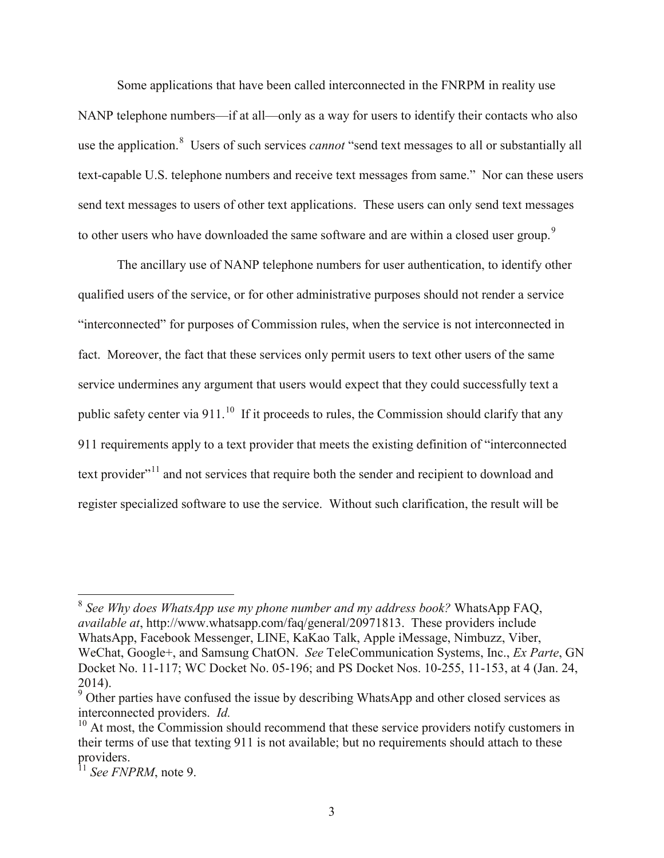Some applications that have been called interconnected in the FNRPM in reality use NANP telephone numbers—if at all—only as a way for users to identify their contacts who also use the application.<sup>[8](#page-2-0)</sup> Users of such services *cannot* "send text messages to all or substantially all text-capable U.S. telephone numbers and receive text messages from same." Nor can these users send text messages to users of other text applications. These users can only send text messages to other users who have downloaded the same software and are within a closed user group.<sup>[9](#page-2-1)</sup>

The ancillary use of NANP telephone numbers for user authentication, to identify other qualified users of the service, or for other administrative purposes should not render a service "interconnected" for purposes of Commission rules, when the service is not interconnected in fact. Moreover, the fact that these services only permit users to text other users of the same service undermines any argument that users would expect that they could successfully text a public safety center via 911.<sup>[10](#page-2-2)</sup> If it proceeds to rules, the Commission should clarify that any 911 requirements apply to a text provider that meets the existing definition of "interconnected text provider<sup>"[11](#page-2-3)</sup> and not services that require both the sender and recipient to download and register specialized software to use the service. Without such clarification, the result will be

<span id="page-2-0"></span><sup>8</sup> *See Why does WhatsApp use my phone number and my address book?* WhatsApp FAQ, *available at*, http://www.whatsapp.com/faq/general/20971813. These providers include WhatsApp, Facebook Messenger, LINE, KaKao Talk, Apple iMessage, Nimbuzz, Viber, WeChat, Google+, and Samsung ChatON. *See* TeleCommunication Systems, Inc., *Ex Parte*, GN Docket No. 11-117; WC Docket No. 05-196; and PS Docket Nos. 10-255, 11-153, at 4 (Jan. 24, 2014).

<span id="page-2-1"></span><sup>&</sup>lt;sup>9</sup> Other parties have confused the issue by describing WhatsApp and other closed services as interconnected providers. *Id.*

<span id="page-2-2"></span> $10$  At most, the Commission should recommend that these service providers notify customers in their terms of use that texting 911 is not available; but no requirements should attach to these providers.

<span id="page-2-3"></span><sup>11</sup> *See FNPRM*, note 9.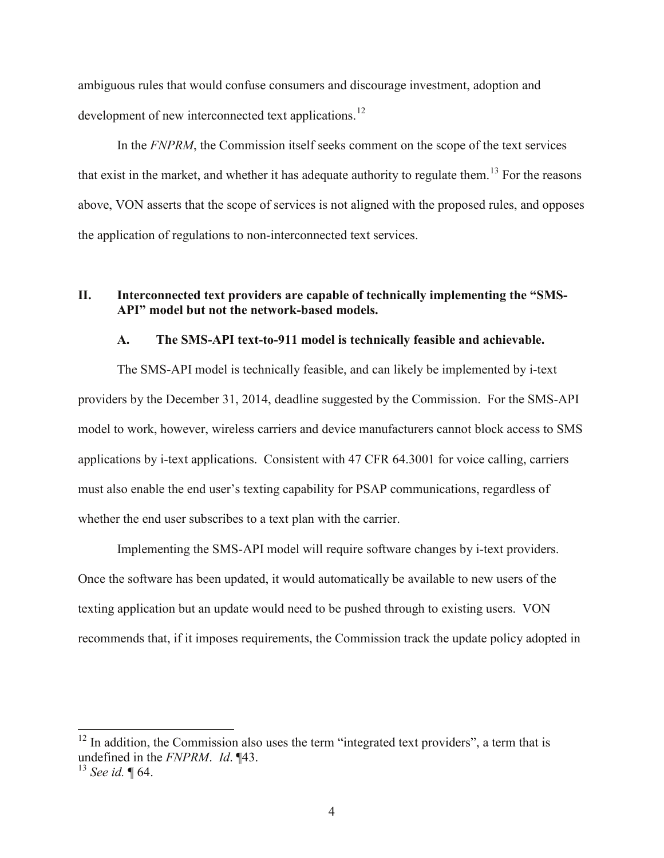ambiguous rules that would confuse consumers and discourage investment, adoption and development of new interconnected text applications.<sup>[12](#page-3-0)</sup>

In the *FNPRM*, the Commission itself seeks comment on the scope of the text services that exist in the market, and whether it has adequate authority to regulate them.<sup>[13](#page-3-1)</sup> For the reasons above, VON asserts that the scope of services is not aligned with the proposed rules, and opposes the application of regulations to non-interconnected text services.

# **II. Interconnected text providers are capable of technically implementing the "SMS-API" model but not the network-based models.**

## **A. The SMS-API text-to-911 model is technically feasible and achievable.**

The SMS-API model is technically feasible, and can likely be implemented by i-text providers by the December 31, 2014, deadline suggested by the Commission.For the SMS-API model to work, however, wireless carriers and device manufacturers cannot block access to SMS applications by i-text applications.Consistent with 47 CFR 64.3001 for voice calling, carriers must also enable the end user's texting capability for PSAP communications, regardless of whether the end user subscribes to a text plan with the carrier.

Implementing the SMS-API model will require software changes by i-text providers. Once the software has been updated, it would automatically be available to new users of the texting application but an update would need to be pushed through to existing users. VON recommends that, if it imposes requirements, the Commission track the update policy adopted in

<span id="page-3-0"></span> $12$  In addition, the Commission also uses the term "integrated text providers", a term that is undefined in the *FNPRM*. *Id*. ¶43.

<span id="page-3-1"></span><sup>13</sup> *See id.* ¶ 64.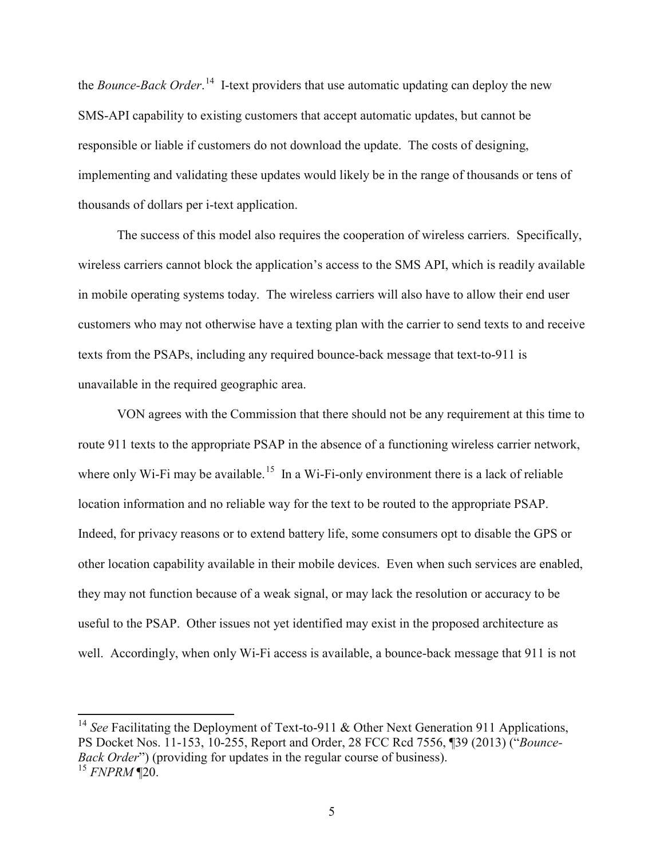the *Bounce-Back Order*. [14](#page-4-0) I-text providers that use automatic updating can deploy the new SMS-API capability to existing customers that accept automatic updates, but cannot be responsible or liable if customers do not download the update. The costs of designing, implementing and validating these updates would likely be in the range of thousands or tens of thousands of dollars per i-text application.

The success of this model also requires the cooperation of wireless carriers. Specifically, wireless carriers cannot block the application's access to the SMS API, which is readily available in mobile operating systems today. The wireless carriers will also have to allow their end user customers who may not otherwise have a texting plan with the carrier to send texts to and receive texts from the PSAPs, including any required bounce-back message that text-to-911 is unavailable in the required geographic area.

VON agrees with the Commission that there should not be any requirement at this time to route 911 texts to the appropriate PSAP in the absence of a functioning wireless carrier network, where only Wi-Fi may be available.<sup>[15](#page-4-1)</sup> In a Wi-Fi-only environment there is a lack of reliable location information and no reliable way for the text to be routed to the appropriate PSAP. Indeed, for privacy reasons or to extend battery life, some consumers opt to disable the GPS or other location capability available in their mobile devices. Even when such services are enabled, they may not function because of a weak signal, or may lack the resolution or accuracy to be useful to the PSAP. Other issues not yet identified may exist in the proposed architecture as well. Accordingly, when only Wi-Fi access is available, a bounce-back message that 911 is not

<span id="page-4-1"></span><span id="page-4-0"></span><sup>14</sup> See Facilitating the Deployment of Text-to-911 & Other Next Generation 911 Applications, PS Docket Nos. 11-153, 10-255, Report and Order, 28 FCC Rcd 7556, ¶39 (2013) ("*Bounce-Back Order*") (providing for updates in the regular course of business). <sup>15</sup> *FNPRM* ¶20.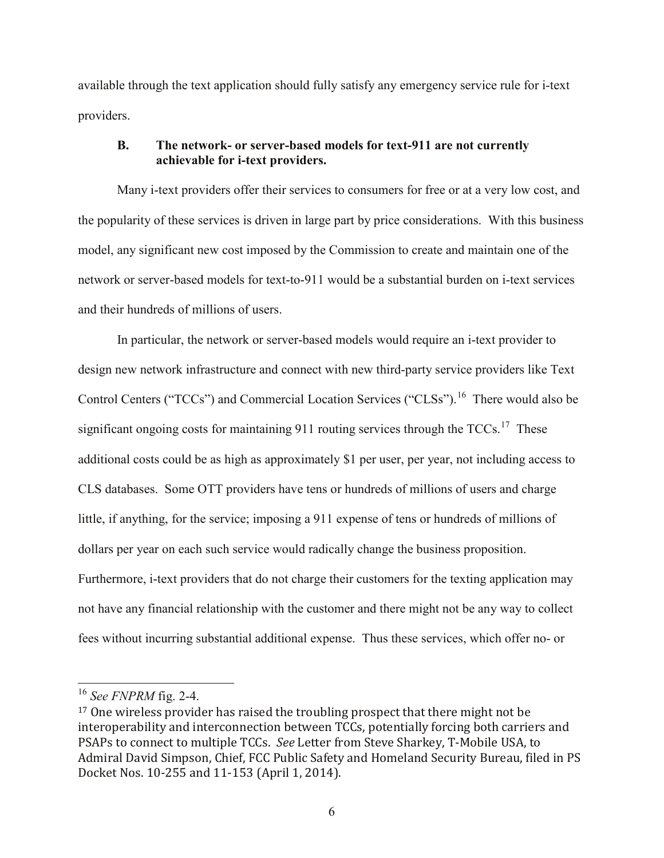available through the text application should fully satisfy any emergency service rule for i-text providers.

# **B. The network- or server-based models for text-911 are not currently achievable for i-text providers.**

Many i-text providers offer their services to consumers for free or at a very low cost, and the popularity of these services is driven in large part by price considerations. With this business model, any significant new cost imposed by the Commission to create and maintain one of the network or server-based models for text-to-911 would be a substantial burden on i-text services and their hundreds of millions of users.

In particular, the network or server-based models would require an i-text provider to design new network infrastructure and connect with new third-party service providers like Text Control Centers ("TCCs") and Commercial Location Services ("CLSs").<sup>[16](#page-5-0)</sup> There would also be significant ongoing costs for maintaining 911 routing services through the  $TCCs$ .<sup>[17](#page-5-1)</sup> These additional costs could be as high as approximately \$1 per user, per year, not including access to CLS databases. Some OTT providers have tens or hundreds of millions of users and charge little, if anything, for the service; imposing a 911 expense of tens or hundreds of millions of dollars per year on each such service would radically change the business proposition. Furthermore, i-text providers that do not charge their customers for the texting application may not have any financial relationship with the customer and there might not be any way to collect fees without incurring substantial additional expense. Thus these services, which offer no- or

<span id="page-5-0"></span><sup>16</sup> *See FNPRM* fig. 2-4.

<span id="page-5-1"></span><sup>&</sup>lt;sup>17</sup> One wireless provider has raised the troubling prospect that there might not be interoperability and interconnection between TCCs, potentially forcing both carriers and PSAPs to connect to multiple TCCs. *See* Letter from Steve Sharkey, T-Mobile USA, to Admiral David Simpson, Chief, FCC Public Safety and Homeland Security Bureau, filed in PS Docket Nos. 10-255 and 11-153 (April 1, 2014).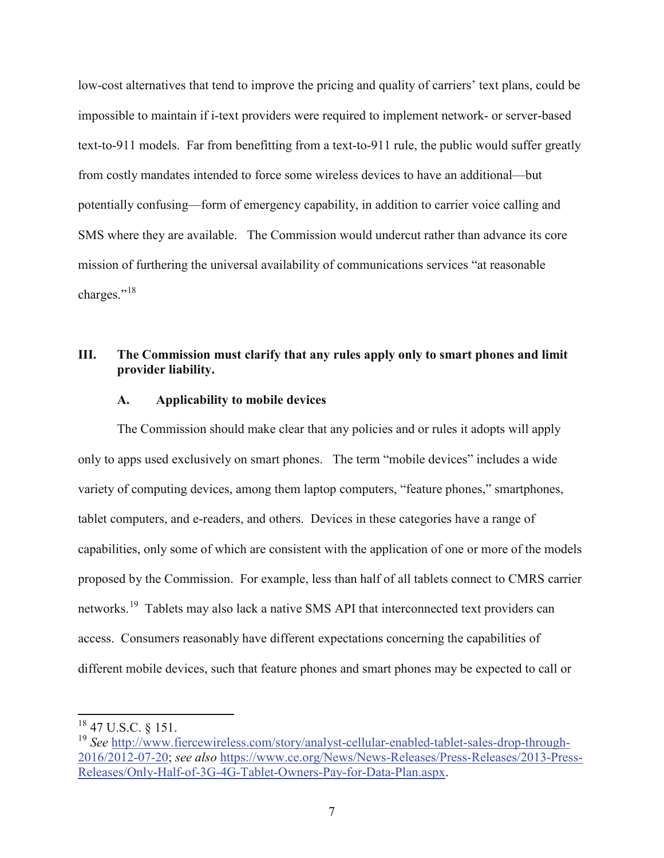low-cost alternatives that tend to improve the pricing and quality of carriers' text plans, could be impossible to maintain if i-text providers were required to implement network- or server-based text-to-911 models. Far from benefitting from a text-to-911 rule, the public would suffer greatly from costly mandates intended to force some wireless devices to have an additional—but potentially confusing—form of emergency capability, in addition to carrier voice calling and SMS where they are available. The Commission would undercut rather than advance its core mission of furthering the universal availability of communications services "at reasonable charges."<sup>[18](#page-6-0)</sup>

## **III. The Commission must clarify that any rules apply only to smart phones and limit provider liability.**

### **A. Applicability to mobile devices**

The Commission should make clear that any policies and or rules it adopts will apply only to apps used exclusively on smart phones. The term "mobile devices" includes a wide variety of computing devices, among them laptop computers, "feature phones," smartphones, tablet computers, and e-readers, and others. Devices in these categories have a range of capabilities, only some of which are consistent with the application of one or more of the models proposed by the Commission. For example, less than half of all tablets connect to CMRS carrier networks.<sup>19</sup> Tablets may also lack a native SMS API that interconnected text providers can access. Consumers reasonably have different expectations concerning the capabilities of different mobile devices, such that feature phones and smart phones may be expected to call or

<span id="page-6-0"></span><sup>18</sup> 47 U.S.C. § 151.

<span id="page-6-1"></span><sup>19</sup> *See* [http://www.fiercewireless.com/story/analyst-cellular-enabled-tablet-sales-drop-through-](http://www.fiercewireless.com/story/analyst-cellular-enabled-tablet-sales-drop-through-2016/2012-07-20)[2016/2012-07-20;](http://www.fiercewireless.com/story/analyst-cellular-enabled-tablet-sales-drop-through-2016/2012-07-20) *see also* [https://www.ce.org/News/News-Releases/Press-Releases/2013-Press-](https://www.ce.org/News/News-Releases/Press-Releases/2013-Press-Releases/Only-Half-of-3G-4G-Tablet-Owners-Pay-for-Data-Plan.aspx)[Releases/Only-Half-of-3G-4G-Tablet-Owners-Pay-for-Data-Plan.aspx.](https://www.ce.org/News/News-Releases/Press-Releases/2013-Press-Releases/Only-Half-of-3G-4G-Tablet-Owners-Pay-for-Data-Plan.aspx)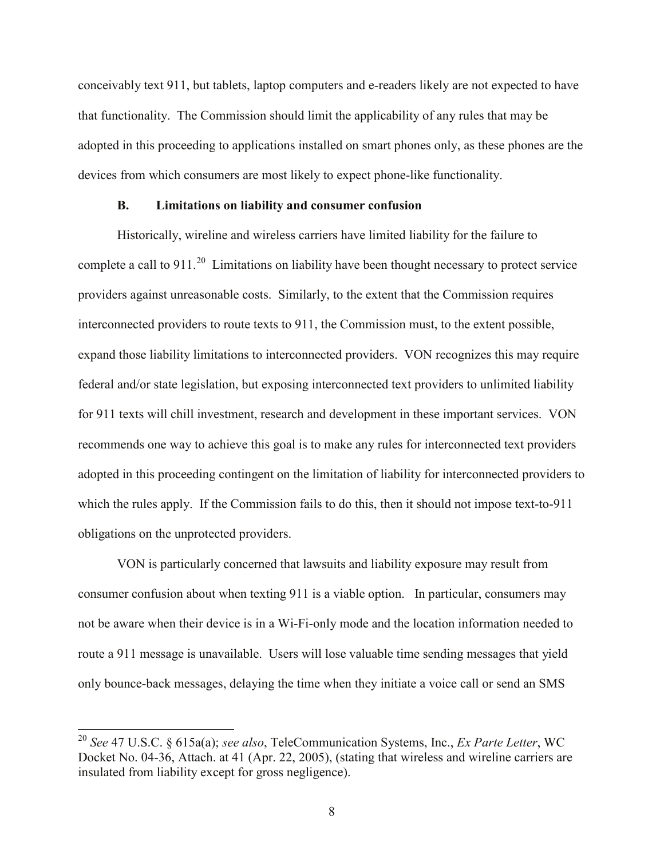conceivably text 911, but tablets, laptop computers and e-readers likely are not expected to have that functionality. The Commission should limit the applicability of any rules that may be adopted in this proceeding to applications installed on smart phones only, as these phones are the devices from which consumers are most likely to expect phone-like functionality.

### **B. Limitations on liability and consumer confusion**

Historically, wireline and wireless carriers have limited liability for the failure to complete a call to 911.<sup>20</sup> Limitations on liability have been thought necessary to protect service providers against unreasonable costs. Similarly, to the extent that the Commission requires interconnected providers to route texts to 911, the Commission must, to the extent possible, expand those liability limitations to interconnected providers. VON recognizes this may require federal and/or state legislation, but exposing interconnected text providers to unlimited liability for 911 texts will chill investment, research and development in these important services. VON recommends one way to achieve this goal is to make any rules for interconnected text providers adopted in this proceeding contingent on the limitation of liability for interconnected providers to which the rules apply. If the Commission fails to do this, then it should not impose text-to-911 obligations on the unprotected providers.

VON is particularly concerned that lawsuits and liability exposure may result from consumer confusion about when texting 911 is a viable option. In particular, consumers may not be aware when their device is in a Wi-Fi-only mode and the location information needed to route a 911 message is unavailable. Users will lose valuable time sending messages that yield only bounce-back messages, delaying the time when they initiate a voice call or send an SMS

<span id="page-7-0"></span><sup>20</sup> *See* 47 U.S.C. § 615a(a); *see also*, TeleCommunication Systems, Inc., *Ex Parte Letter*, WC Docket No. 04-36, Attach. at 41 (Apr. 22, 2005), (stating that wireless and wireline carriers are insulated from liability except for gross negligence).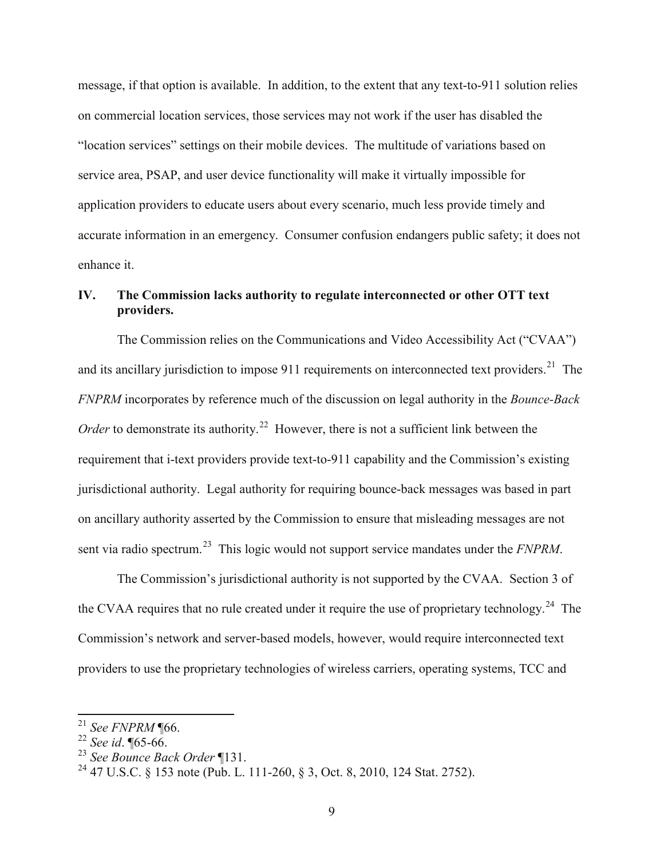message, if that option is available. In addition, to the extent that any text-to-911 solution relies on commercial location services, those services may not work if the user has disabled the "location services" settings on their mobile devices. The multitude of variations based on service area, PSAP, and user device functionality will make it virtually impossible for application providers to educate users about every scenario, much less provide timely and accurate information in an emergency. Consumer confusion endangers public safety; it does not enhance it.

# **IV. The Commission lacks authority to regulate interconnected or other OTT text providers.**

The Commission relies on the Communications and Video Accessibility Act ("CVAA") and its ancillary jurisdiction to impose 911 requirements on interconnected text providers.<sup>[21](#page-8-0)</sup> The *FNPRM* incorporates by reference much of the discussion on legal authority in the *Bounce-Back Order* to demonstrate its authority.<sup>[22](#page-8-1)</sup> However, there is not a sufficient link between the requirement that i-text providers provide text-to-911 capability and the Commission's existing jurisdictional authority. Legal authority for requiring bounce-back messages was based in part on ancillary authority asserted by the Commission to ensure that misleading messages are not sent via radio spectrum.<sup>[23](#page-8-2)</sup> This logic would not support service mandates under the *FNPRM*.

The Commission's jurisdictional authority is not supported by the CVAA. Section 3 of the CVAA requires that no rule created under it require the use of proprietary technology.<sup>24</sup> The Commission's network and server-based models, however, would require interconnected text providers to use the proprietary technologies of wireless carriers, operating systems, TCC and

<span id="page-8-0"></span><sup>21</sup> *See FNPRM* ¶66.

<span id="page-8-1"></span><sup>22</sup> *See id*. ¶65-66.

<span id="page-8-2"></span><sup>23</sup> *See Bounce Back Order* ¶131.

<span id="page-8-3"></span><sup>&</sup>lt;sup>24</sup> 47 U.S.C. § 153 note (Pub. L. 111-260, § 3, Oct. 8, 2010, 124 Stat. 2752).